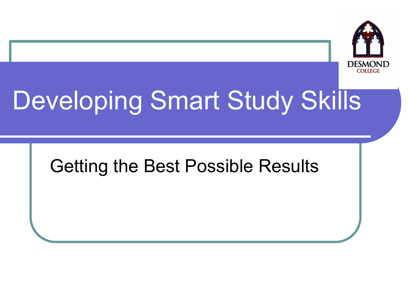

# Developing Smart Study Skills

#### Getting the Best Possible Results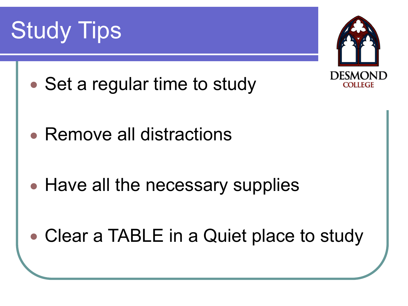



- Set a regular time to study
- Remove all distractions
- Have all the necessary supplies
- Clear a TABLE in a Quiet place to study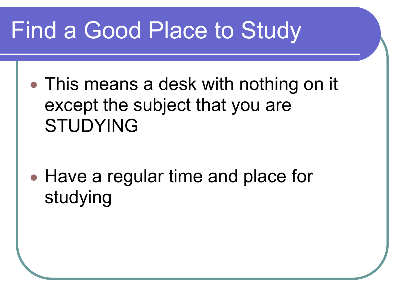### Find a Good Place to Study

- This means a desk with nothing on it except the subject that you are STUDYING
- Have a regular time and place for studying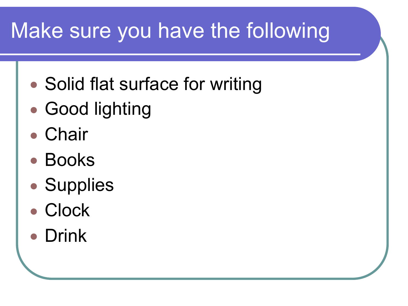### Make sure you have the following

- Solid flat surface for writing
- Good lighting
- Chair
- Books
- Supplies
- ! Clock
- Drink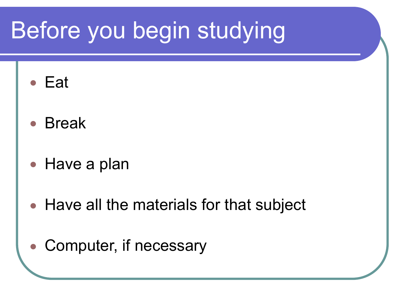# Before you begin studying

- $\bullet$  Eat
- **Break**
- Have a plan
- Have all the materials for that subject
- Computer, if necessary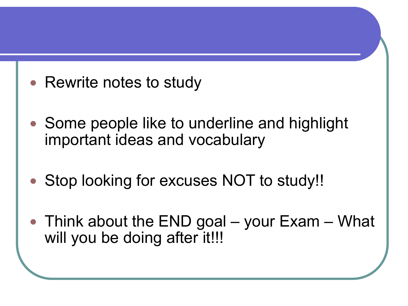- Rewrite notes to study
- Some people like to underline and highlight important ideas and vocabulary
- ! Stop looking for excuses NOT to study!!
- $\bullet$  Think about the END goal your Exam What will you be doing after it!!!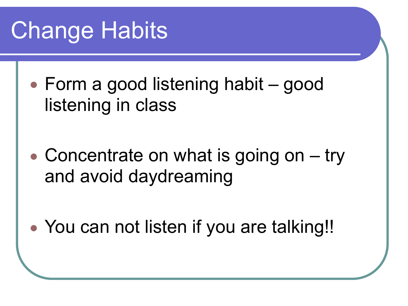# Change Habits

- Form a good listening habit good listening in class
- $\bullet$  Concentrate on what is going on  $-$  try and avoid daydreaming
- You can not listen if you are talking!!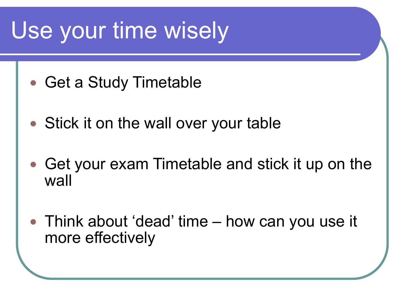# Use your time wisely

- Get a Study Timetable
- Stick it on the wall over your table
- Get your exam Timetable and stick it up on the wall
- Think about 'dead' time how can you use it more effectively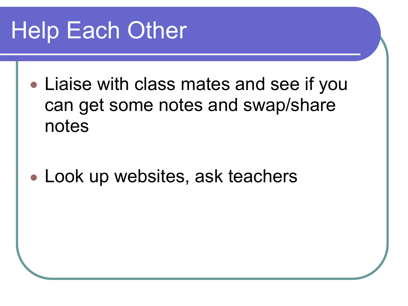# Help Each Other

• Liaise with class mates and see if you can get some notes and swap/share notes

• Look up websites, ask teachers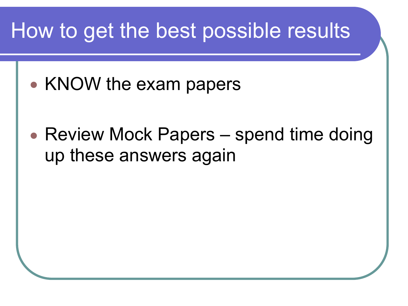#### How to get the best possible results

- KNOW the exam papers
- Review Mock Papers spend time doing up these answers again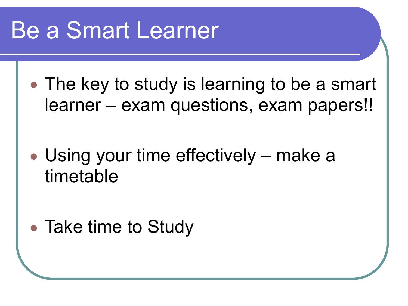### Be a Smart Learner

• The key to study is learning to be a smart learner – exam questions, exam papers!!

• Using your time effectively – make a timetable

• Take time to Study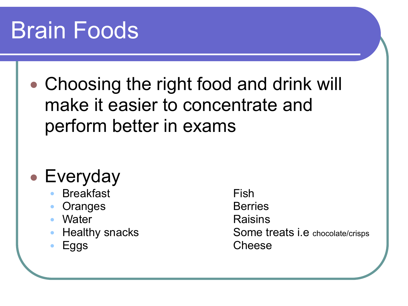# Brain Foods

• Choosing the right food and drink will make it easier to concentrate and perform better in exams

#### • Everyday

- **Breakfast** Fish
- Oranges Berries
- Water **Raisins**
- 
- 

**Healthy snacks** Some treats i.e chocolate/crisps **Eggs** Cheese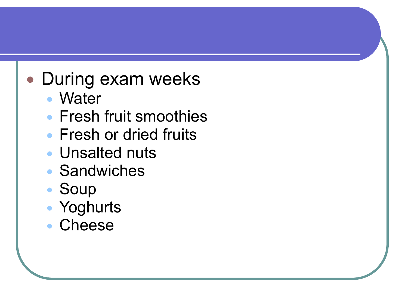#### **.** During exam weeks

- Water
- **Fresh fruit smoothies**
- **Fresh or dried fruits**
- Unsalted nuts
- Sandwiches
- ! Soup
- Yoghurts
- ! Cheese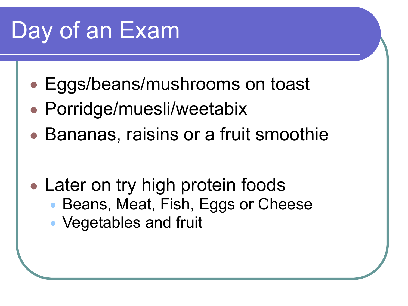# Day of an Exam

- Eggs/beans/mushrooms on toast
- Porridge/muesli/weetabix
- Bananas, raisins or a fruit smoothie
- Later on try high protein foods • Beans, Meat, Fish, Eggs or Cheese
	- Vegetables and fruit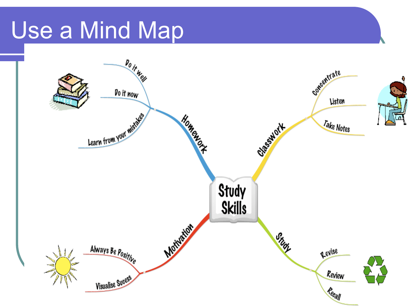### Use a Mind Map

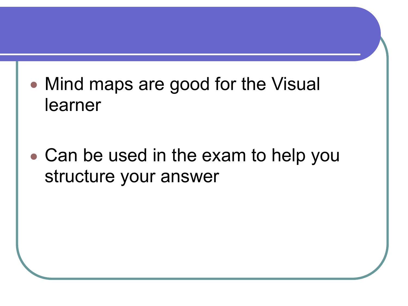• Mind maps are good for the Visual learner

• Can be used in the exam to help you structure your answer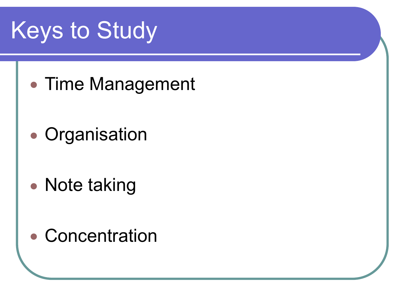# Keys to Study

- Time Management
- Organisation
- Note taking
- Concentration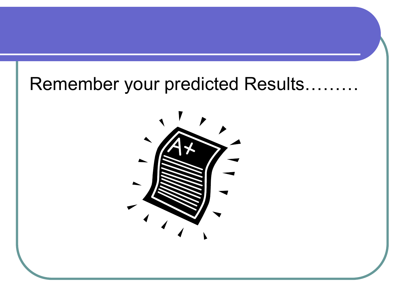#### Remember your predicted Results………